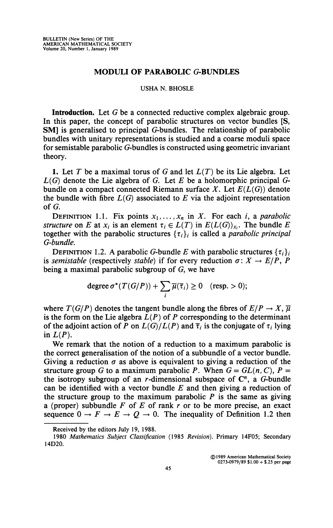## **MODULI OF PARABOLIC G-BUNDLES**

## **USHA N. BHOSLE**

**Introduction.** Let G be a connected reductive complex algebraic group. In this paper, the concept of parabolic structures on vector bundles [S, **SM**] is generalised to principal G-bundles. The relationship of parabolic bundles with unitary representations is studied and a coarse moduli space for semistable parabolic G-bundles is constructed using geometric invariant theory.

1. Let *T* be a maximal torus of G and let *L{T)* be its Lie algebra. Let *L(G)* denote the Lie algebra of G. Let *E* be a holomorphic principal Gbundle on a compact connected Riemann surface *X.* Let *E(L(G))* denote the bundle with fibre  $L(G)$  associated to  $E$  via the adjoint representation of G.

**DEFINITION** 1.1. Fix points  $x_1, \ldots, x_n$  in X. For each *i*, a *parabolic structure* on *E* at  $x_i$  is an element  $\tau_i \in L(T)$  in  $E(L(G))_{x_i}$ . The bundle *E* together with the parabolic structures  $\{\tau_i\}_i$  is called a *parabolic principal G-bundle.* 

**DEFINITION 1.2.** A parabolic G-bundle E with parabolic structures  $\{\tau_i\}_i$ is *semistable* (respectively *stable*) if for every reduction  $\sigma: X \to E/P$ , P being a maximal parabolic subgroup of G, we have

degree 
$$
\sigma^*(T(G/P)) + \sum_i \overline{\mu}(\overline{\tau}_i) \ge 0
$$
 (resp. > 0);

where  $T(G/P)$  denotes the tangent bundle along the fibres of  $E/P \to X$ ,  $\overline{\mu}$ is the form on the Lie algebra  $L(P)$  of  $P$  corresponding to the determinant of the adjoint action of P on  $L(G)/L(P)$  and  $\overline{\tau}_i$  is the conjugate of  $\tau_i$  lying in  $L(P)$ .

We remark that the notion of a reduction to a maximum parabolic is the correct generalisation of the notion of a subbundle of a vector bundle. Giving a reduction  $\sigma$  as above is equivalent to giving a reduction of the structure group G to a maximum parabolic P. When  $G = GL(n, C)$ ,  $P =$ the isotropy subgroup of an *r*-dimensional subspace of  $C^n$ , a *G*-bundle can be identified with a vector bundle *E* and then giving a reduction of the structure group to the maximum parabolic  *is the same as giving* a (proper) subbundle *E of E of* rank *r* or to be more precise, an exact sequence  $0 \rightarrow F \rightarrow E \rightarrow Q \rightarrow 0$ . The inequality of Definition 1.2 then

**© 1989 American Mathematical Society 0273-0979/89 \$1.00 + \$.25 per page** 

**Received by the editors July 19, 1988.** 

**<sup>1980</sup>** *Mathematics Subject Classification* **(1985** *Revision).* **Primary 14F05; Secondary 14D20.**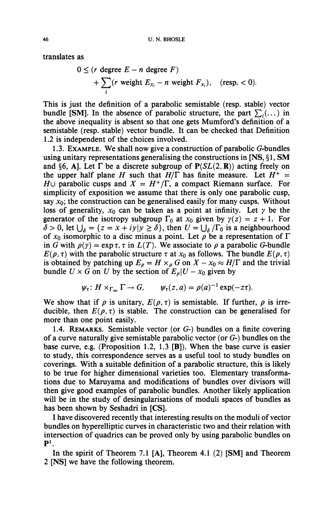**translates as** 

$$
0 \leq (r \text{ degree } E - n \text{ degree } F)
$$
  
+  $\sum_{i} (r \text{ weight } E_{x_i} - n \text{ weight } F_{x_i}),$  (resp. < 0).

**This is just the definition of a parabolic semistable (resp. stable) vector bundle [SM].** In the absence of parabolic structure, the part  $\sum_i$ (...) in **the above inequality is absent so that one gets Mumford's definition of a semistable (resp. stable) vector bundle. It can be checked that Definition 1.2 is independent of the choices involved.** 

**1.3. EXAMPLE. We shall now give a construction of parabolic G-bundles using unitary representations generalising the constructions in [NS, § 1, SM**  and §6, A]. Let  $\Gamma$  be a discrete subgroup of  $P(SL(2, R))$  acting freely on the upper half plane *H* such that  $H/\Gamma$  has finite measure. Let  $H^+$  = *H* $\cup$  parabolic cusps and  $X = H^+/\Gamma$ , a compact Riemann surface. For **simplicity of exposition we assume that there is only one parabolic cusp,**  say  $x_0$ ; the construction can be generalised easily for many cusps. Without loss of generality,  $x_0$  can be taken as a point at infinity. Let  $\gamma$  be the **generator** of the isotropy subgroup  $\Gamma_0$  at  $x_0$  given by  $\gamma(z) = z + 1$ . For  $\delta > 0$ , let  $\bigcup_{\delta} = \{z = x + iy | y \ge \delta\}$ , then  $U = \bigcup_{\delta} / \Gamma_0$  is a neighbourhood of  $x_0$  isomorphic to a disc minus a point. Let  $\rho$  be a representation of  $\Gamma$ in *G* with  $\rho(\gamma) = \exp \tau$ ,  $\tau$  in  $L(T)$ . We associate to  $\rho$  a parabolic *G*-bundle  $E(\rho, \tau)$  with the parabolic structure  $\tau$  at  $x_0$  as follows. The bundle  $E(\rho, \tau)$ is obtained by patching up  $E_p = H \times_p G$  on  $X - x_0 \approx H/\Gamma$  and the trivial bundle  $U \times G$  on  $U$  by the section of  $E_p|U - x_0$  given by

$$
\psi_{\tau}: H \times_{\Gamma_{\infty}} \Gamma \to G, \qquad \psi_{\tau}(z,a) = \rho(a)^{-1} \exp(-z\tau).
$$

We show that if  $\rho$  is unitary,  $E(\rho, \tau)$  is semistable. If further,  $\rho$  is irreducible, then  $E(\rho, \tau)$  is stable. The construction can be generalised for **more than one point easily.** 

**1.4. REMARKS. Semistable vector (or** *G-)* **bundles on a finite covering of a curve naturally give semistable parabolic vector (or** *G-)* **bundles on the base curve, e.g. (Proposition 1.2, 1.3 [B]). When the base curve is easier to study, this correspondence serves as a useful tool to study bundles on coverings. With a suitable definition of a parabolic structure, this is likely to be true for higher dimensional varieties too. Elementary transformations due to Maruyama and modifications of bundles over divisors will then give good examples of parabolic bundles. Another likely application will be in the study of desingularisations of moduli spaces of bundles as has been shown by Seshadri in [CS].** 

**I have discovered recently that interesting results on the moduli of vector bundles on hyperelliptic curves in characteristic two and their relation with intersection of quadrics can be proved only by using parabolic bundles on**   $\mathbf{P}^1$ .

**In the spirit of Theorem 7.1 [A], Theorem 4.1 (2) [SM] and Theorem 2 [NS] we have the following theorem.**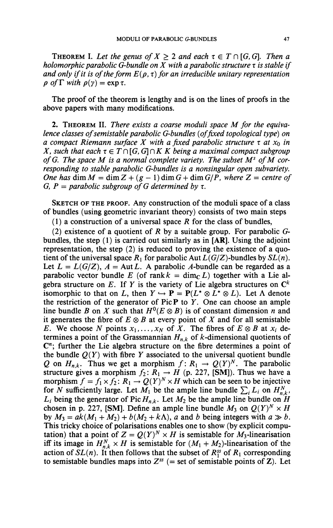**THEOREM I.** Let the genus of  $X \geq 2$  and each  $\tau \in T \cap [G, G]$ . Then a *holomorphic parabolic G-bundle on X with a parabolic structure*  $\tau$  *is stable if and only if it is of the form*  $E(\rho, \tau)$  *for an irreducible unitary representation*  $\rho$  of  $\Gamma$  with  $\rho(\gamma) = \exp \tau$ .

The proof of the theorem is lengthy and is on the lines of proofs in the above papers with many modifications.

2. THEOREM II. *There exists a coarse moduli space M for the equivalence classes of semistable parabolic G-bundles {offixed topological type) on a compact Riemann surface X with a fixed parabolic structure*  $\tau$  *at*  $x_0$  *in X*, such that each  $\tau \in T \cap [G, G] \cap K$  *K* being a maximal compact subgroup *of G The space M is a normal complete variety. The subset M<sup>s</sup> of M corresponding to stable parabolic G-bundles is a nonsingular open subvariety. One has* dim  $M = \dim Z + (g - 1) \dim G + \dim G/P$ , where  $Z =$  centre of *G, P = parabolic subgroup of G determined by*  $\tau$ *.* 

SKETCH OF THE PROOF. Any construction of the moduli space of a class of bundles (using geometric invariant theory) consists of two main steps

(1) a construction of a universal space *R* for the class of bundles,

(2) existence of a quotient of *R* by a suitable group. For parabolic *G*bundles, the step  $(1)$  is carried out similarly as in [AR]. Using the adjoint representation, the step (2) is reduced to proving the existence of a quotient of the universal space  $R_1$  for parabolic Aut  $L(G/Z)$ -bundles by  $SL(n)$ . Let  $L = L(G/Z)$ ,  $A = Aut L$ . A parabolic A-bundle can be regarded as a parabolic vector bundle E (of rank  $k = \dim_{\mathbb{C}} L$ ) together with a Lie algebra structure on E. If Y is the variety of Lie algebra structures on  $\mathbb{C}^k$ isomorphic to that on L, then  $Y \hookrightarrow P = P(L^* \otimes L^* \otimes L)$ . Let  $\Lambda$  denote the restriction of the generator of Pic P to *Y*. One can choose an ample line bundle *B* on *X* such that  $H^0(E \otimes B)$  is of constant dimension *n* and it generates the fibre of  $E \otimes B$  at every point of X and for all semistable *E.* We choose *N* points  $x_1, \ldots, x_N$  of  $\overline{X}$ . The fibres of  $E \otimes B$  at  $x_i$  determines a point of the Grassmannian  $H_{n,k}$  of  $k$ -dimensional quotients of *C*<sup>*n*</sup>; further the Lie algebra structure on the fibre determines a point of the bundle  $Q(Y)$  with fibre Y associated to the universal quotient bundle *Q* on  $H_{n,k}$ . Thus we get a morphism  $f: R_1 \to Q(Y)^N$ . The parabolic structure gives a morphism  $f_2: R_1 \to H$  (p. 227, [SM]). Thus we have a morphism  $f = f_1 \times f_2$ :  $R_1 \rightarrow Q(Y)^N \times H$  which can be seen to be injective for N sufficiently large. Let  $\overline{M}_1$  be the ample line bundle  $\sum_i L_i$  on  $H_{n,k}^N$ ,  $L_i$  being the generator of Pic  $H_{n,k}$ . Let  $M_2$  be the ample line bundle on  $H$ chosen in p. 227, [SM]. Define an ample line bundle  $M_3$  on  $Q(Y)^N \times H$ by  $M_3 = ak(M_1 + M_2) + b(M_2 + k\Lambda)$ , a and b being integers with  $a \gg b$ . This tricky choice of polarisations enables one to show (by explicit computation) that a point of  $Z = Q(Y)^N \times H$  is semistable for  $M_3$ -linearisation iff its image in  $H_{nk}^N \times H$  is semistable for  $(M_1 + M_2)$ -linearisation of the action of  $SL(n)$ . It then follows that the subset of  $R_1^{ss}$  of  $R_1$  corresponding to semistable bundles maps into  $Z^{ss}$  (= set of semistable points of  $Z$ ). Let